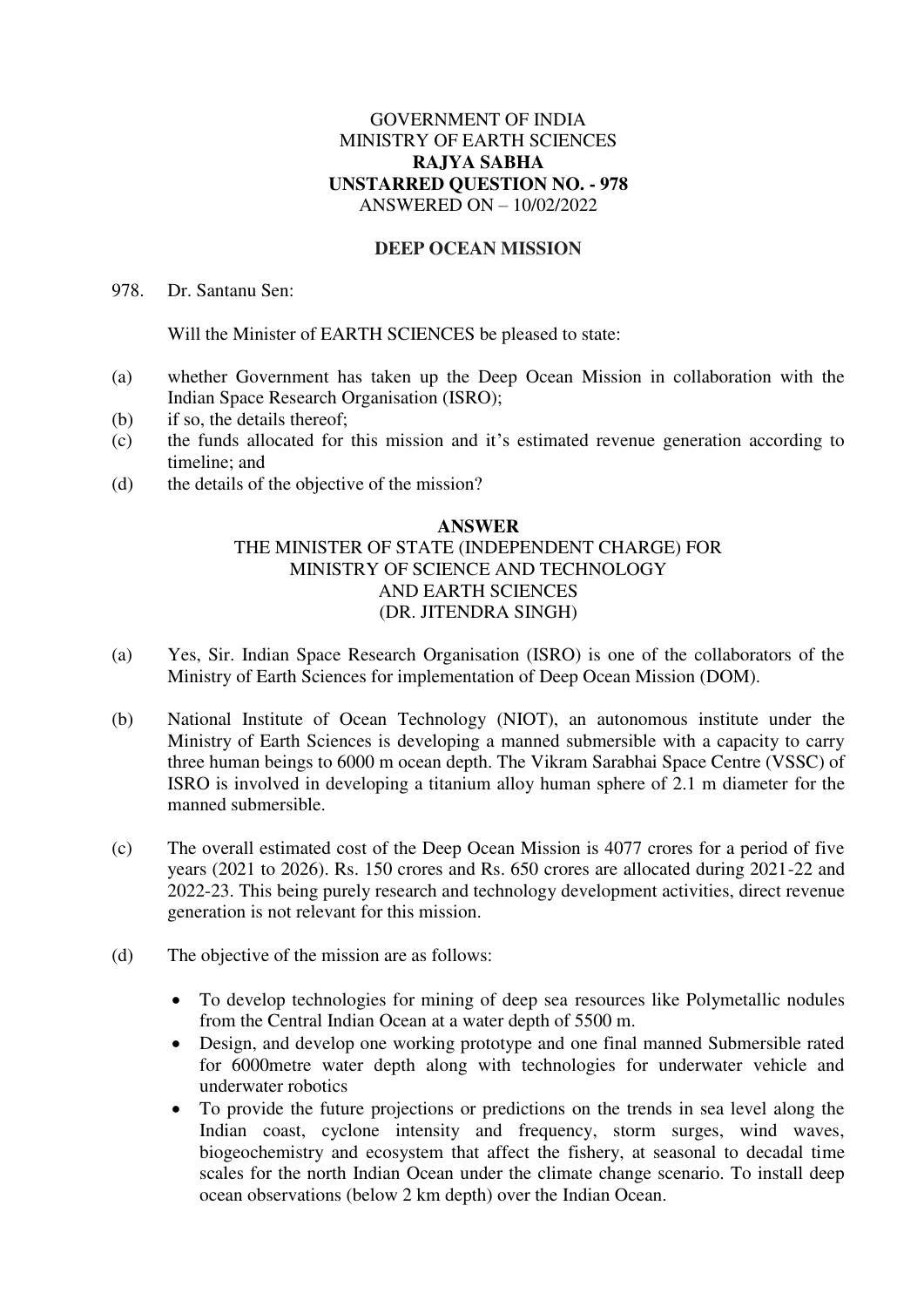## GOVERNMENT OF INDIA MINISTRY OF EARTH SCIENCES **RAJYA SABHA UNSTARRED QUESTION NO. - 978**  ANSWERED ON – 10/02/2022

## **DEEP OCEAN MISSION**

978. Dr. Santanu Sen:

Will the Minister of EARTH SCIENCES be pleased to state:

- (a) whether Government has taken up the Deep Ocean Mission in collaboration with the Indian Space Research Organisation (ISRO);
- (b) if so, the details thereof;
- (c) the funds allocated for this mission and it's estimated revenue generation according to timeline; and
- (d) the details of the objective of the mission?

## **ANSWER**  THE MINISTER OF STATE (INDEPENDENT CHARGE) FOR MINISTRY OF SCIENCE AND TECHNOLOGY AND EARTH SCIENCES (DR. JITENDRA SINGH)

- (a) Yes, Sir. Indian Space Research Organisation (ISRO) is one of the collaborators of the Ministry of Earth Sciences for implementation of Deep Ocean Mission (DOM).
- (b) National Institute of Ocean Technology (NIOT), an autonomous institute under the Ministry of Earth Sciences is developing a manned submersible with a capacity to carry three human beings to 6000 m ocean depth. The Vikram Sarabhai Space Centre (VSSC) of ISRO is involved in developing a titanium alloy human sphere of 2.1 m diameter for the manned submersible.
- (c) The overall estimated cost of the Deep Ocean Mission is 4077 crores for a period of five years (2021 to 2026). Rs. 150 crores and Rs. 650 crores are allocated during 2021-22 and 2022-23. This being purely research and technology development activities, direct revenue generation is not relevant for this mission.
- (d) The objective of the mission are as follows:
	- To develop technologies for mining of deep sea resources like Polymetallic nodules from the Central Indian Ocean at a water depth of 5500 m.
	- Design, and develop one working prototype and one final manned Submersible rated for 6000metre water depth along with technologies for underwater vehicle and underwater robotics
	- To provide the future projections or predictions on the trends in sea level along the Indian coast, cyclone intensity and frequency, storm surges, wind waves, biogeochemistry and ecosystem that affect the fishery, at seasonal to decadal time scales for the north Indian Ocean under the climate change scenario. To install deep ocean observations (below 2 km depth) over the Indian Ocean.